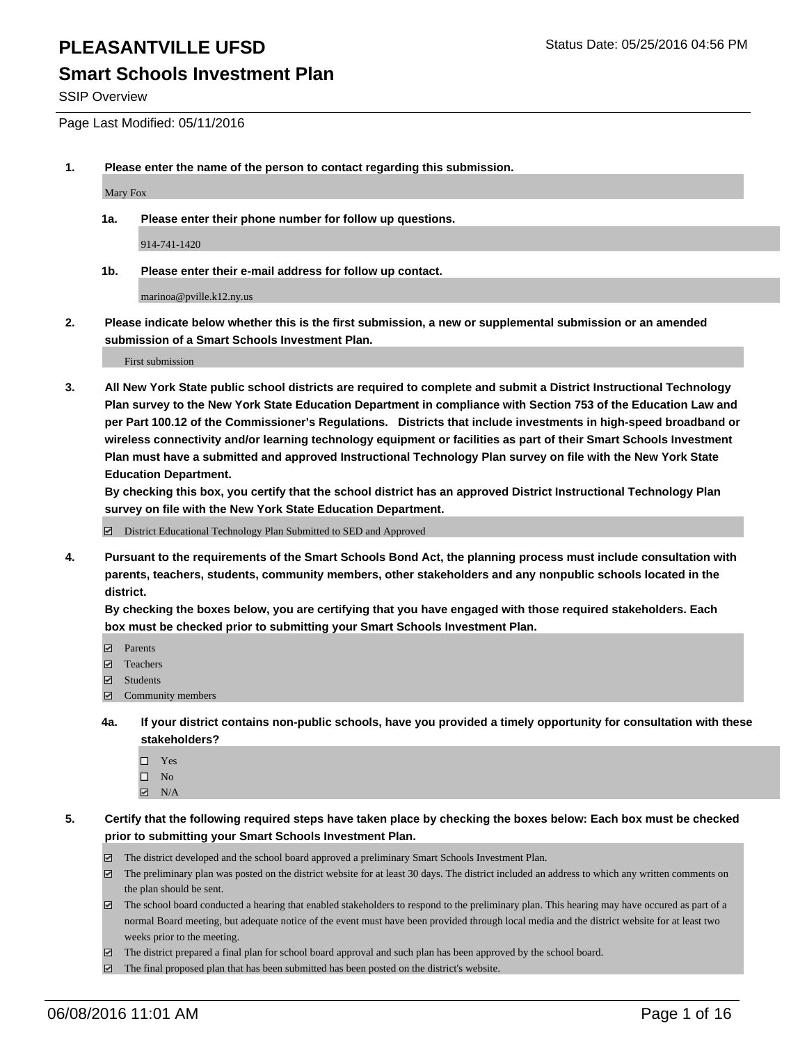#### **Smart Schools Investment Plan**

SSIP Overview

Page Last Modified: 05/11/2016

**1. Please enter the name of the person to contact regarding this submission.**

Mary Fox

**1a. Please enter their phone number for follow up questions.**

914-741-1420

**1b. Please enter their e-mail address for follow up contact.**

marinoa@pville.k12.ny.us

**2. Please indicate below whether this is the first submission, a new or supplemental submission or an amended submission of a Smart Schools Investment Plan.**

First submission

**3. All New York State public school districts are required to complete and submit a District Instructional Technology Plan survey to the New York State Education Department in compliance with Section 753 of the Education Law and per Part 100.12 of the Commissioner's Regulations. Districts that include investments in high-speed broadband or wireless connectivity and/or learning technology equipment or facilities as part of their Smart Schools Investment Plan must have a submitted and approved Instructional Technology Plan survey on file with the New York State Education Department.** 

**By checking this box, you certify that the school district has an approved District Instructional Technology Plan survey on file with the New York State Education Department.**

District Educational Technology Plan Submitted to SED and Approved

**4. Pursuant to the requirements of the Smart Schools Bond Act, the planning process must include consultation with parents, teachers, students, community members, other stakeholders and any nonpublic schools located in the district.** 

**By checking the boxes below, you are certifying that you have engaged with those required stakeholders. Each box must be checked prior to submitting your Smart Schools Investment Plan.**

- **Parents**
- Teachers
- $\blacksquare$  Students
- Community members
- **4a. If your district contains non-public schools, have you provided a timely opportunity for consultation with these stakeholders?**
	- $\Box$  Yes  $\square$  No
	- $\boxtimes$  N/A
- **5. Certify that the following required steps have taken place by checking the boxes below: Each box must be checked prior to submitting your Smart Schools Investment Plan.**
	- The district developed and the school board approved a preliminary Smart Schools Investment Plan.
	- $\Box$  The preliminary plan was posted on the district website for at least 30 days. The district included an address to which any written comments on the plan should be sent.
	- $\Box$  The school board conducted a hearing that enabled stakeholders to respond to the preliminary plan. This hearing may have occured as part of a normal Board meeting, but adequate notice of the event must have been provided through local media and the district website for at least two weeks prior to the meeting.
	- The district prepared a final plan for school board approval and such plan has been approved by the school board.
	- $\boxdot$  The final proposed plan that has been submitted has been posted on the district's website.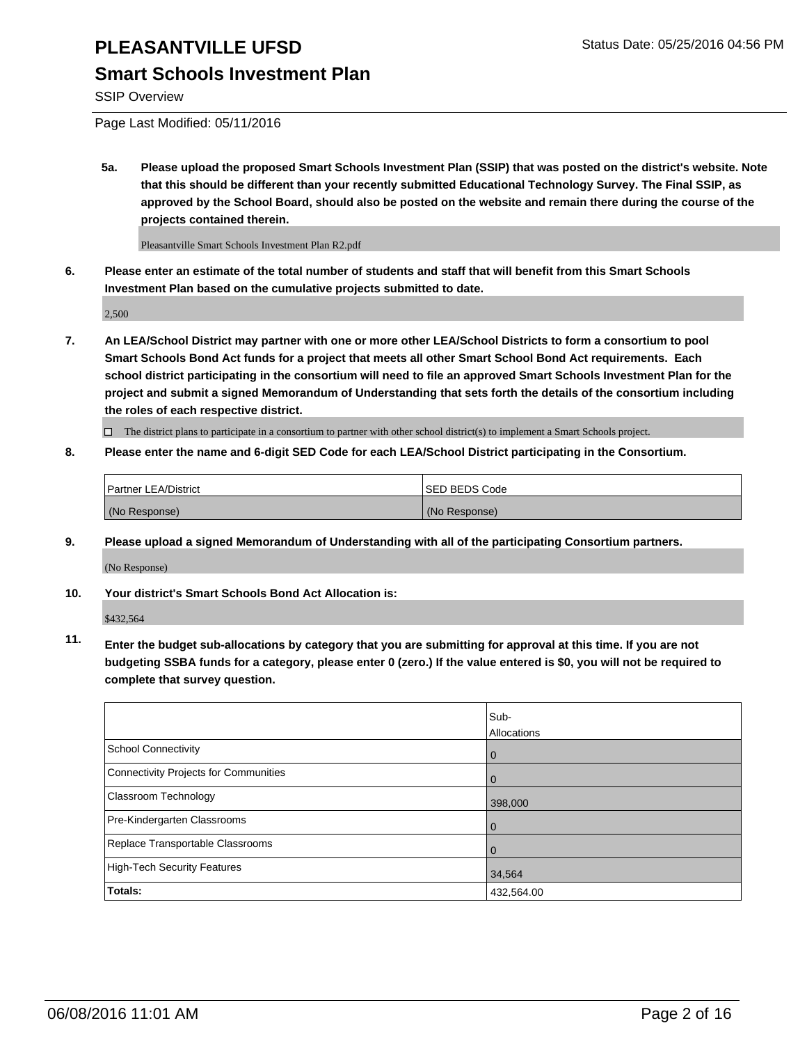## **Smart Schools Investment Plan**

SSIP Overview

Page Last Modified: 05/11/2016

**5a. Please upload the proposed Smart Schools Investment Plan (SSIP) that was posted on the district's website. Note that this should be different than your recently submitted Educational Technology Survey. The Final SSIP, as approved by the School Board, should also be posted on the website and remain there during the course of the projects contained therein.**

Pleasantville Smart Schools Investment Plan R2.pdf

**6. Please enter an estimate of the total number of students and staff that will benefit from this Smart Schools Investment Plan based on the cumulative projects submitted to date.**

2,500

**7. An LEA/School District may partner with one or more other LEA/School Districts to form a consortium to pool Smart Schools Bond Act funds for a project that meets all other Smart School Bond Act requirements. Each school district participating in the consortium will need to file an approved Smart Schools Investment Plan for the project and submit a signed Memorandum of Understanding that sets forth the details of the consortium including the roles of each respective district.**

 $\Box$  The district plans to participate in a consortium to partner with other school district(s) to implement a Smart Schools project.

**8. Please enter the name and 6-digit SED Code for each LEA/School District participating in the Consortium.**

| <b>Partner LEA/District</b> | ISED BEDS Code |
|-----------------------------|----------------|
| (No Response)               | (No Response)  |

**9. Please upload a signed Memorandum of Understanding with all of the participating Consortium partners.**

(No Response)

**10. Your district's Smart Schools Bond Act Allocation is:**

\$432,564

**11. Enter the budget sub-allocations by category that you are submitting for approval at this time. If you are not budgeting SSBA funds for a category, please enter 0 (zero.) If the value entered is \$0, you will not be required to complete that survey question.**

|                                       | Sub-        |
|---------------------------------------|-------------|
|                                       | Allocations |
| School Connectivity                   | 0           |
| Connectivity Projects for Communities | $\Omega$    |
| Classroom Technology                  | 398,000     |
| Pre-Kindergarten Classrooms           | $\Omega$    |
| Replace Transportable Classrooms      | 0           |
| High-Tech Security Features           | 34,564      |
| Totals:                               | 432,564.00  |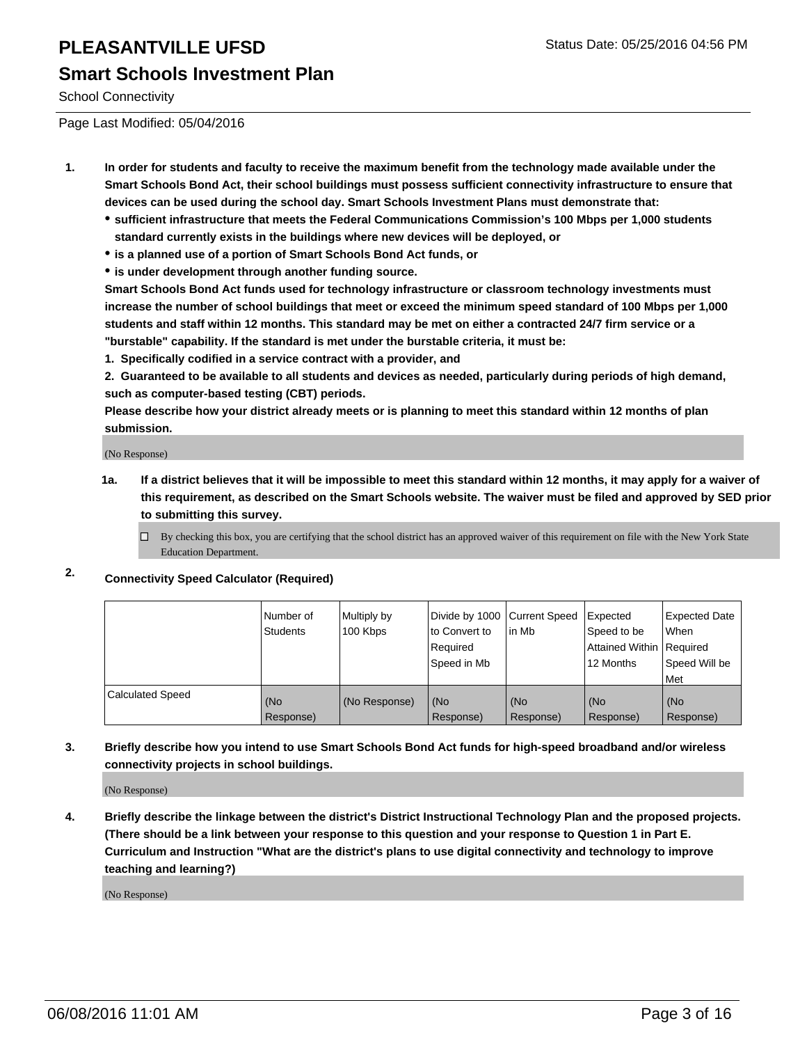## **PLEASANTVILLE UFSD** Status Date: 05/25/2016 04:56 PM **Smart Schools Investment Plan**

School Connectivity

Page Last Modified: 05/04/2016

- **1. In order for students and faculty to receive the maximum benefit from the technology made available under the Smart Schools Bond Act, their school buildings must possess sufficient connectivity infrastructure to ensure that devices can be used during the school day. Smart Schools Investment Plans must demonstrate that:**
	- **sufficient infrastructure that meets the Federal Communications Commission's 100 Mbps per 1,000 students standard currently exists in the buildings where new devices will be deployed, or**
	- **is a planned use of a portion of Smart Schools Bond Act funds, or**
	- **is under development through another funding source.**

**Smart Schools Bond Act funds used for technology infrastructure or classroom technology investments must increase the number of school buildings that meet or exceed the minimum speed standard of 100 Mbps per 1,000 students and staff within 12 months. This standard may be met on either a contracted 24/7 firm service or a "burstable" capability. If the standard is met under the burstable criteria, it must be:**

**1. Specifically codified in a service contract with a provider, and**

**2. Guaranteed to be available to all students and devices as needed, particularly during periods of high demand, such as computer-based testing (CBT) periods.**

**Please describe how your district already meets or is planning to meet this standard within 12 months of plan submission.**

(No Response)

- **1a. If a district believes that it will be impossible to meet this standard within 12 months, it may apply for a waiver of this requirement, as described on the Smart Schools website. The waiver must be filed and approved by SED prior to submitting this survey.**
	- $\Box$  By checking this box, you are certifying that the school district has an approved waiver of this requirement on file with the New York State Education Department.

#### **2. Connectivity Speed Calculator (Required)**

|                         | Number of<br>Students | Multiply by<br>100 Kbps | Divide by 1000 Current Speed<br>to Convert to<br>Required<br>Speed in Mb | lin Mb           | Expected<br>Speed to be<br>Attained Within   Required<br>12 Months | <b>Expected Date</b><br><b>When</b><br>Speed Will be<br><b>Met</b> |
|-------------------------|-----------------------|-------------------------|--------------------------------------------------------------------------|------------------|--------------------------------------------------------------------|--------------------------------------------------------------------|
| <b>Calculated Speed</b> | l (No<br>Response)    | (No Response)           | (No<br>Response)                                                         | (No<br>Response) | (No<br>Response)                                                   | l (No<br>Response)                                                 |

**3. Briefly describe how you intend to use Smart Schools Bond Act funds for high-speed broadband and/or wireless connectivity projects in school buildings.**

(No Response)

**4. Briefly describe the linkage between the district's District Instructional Technology Plan and the proposed projects. (There should be a link between your response to this question and your response to Question 1 in Part E. Curriculum and Instruction "What are the district's plans to use digital connectivity and technology to improve teaching and learning?)**

(No Response)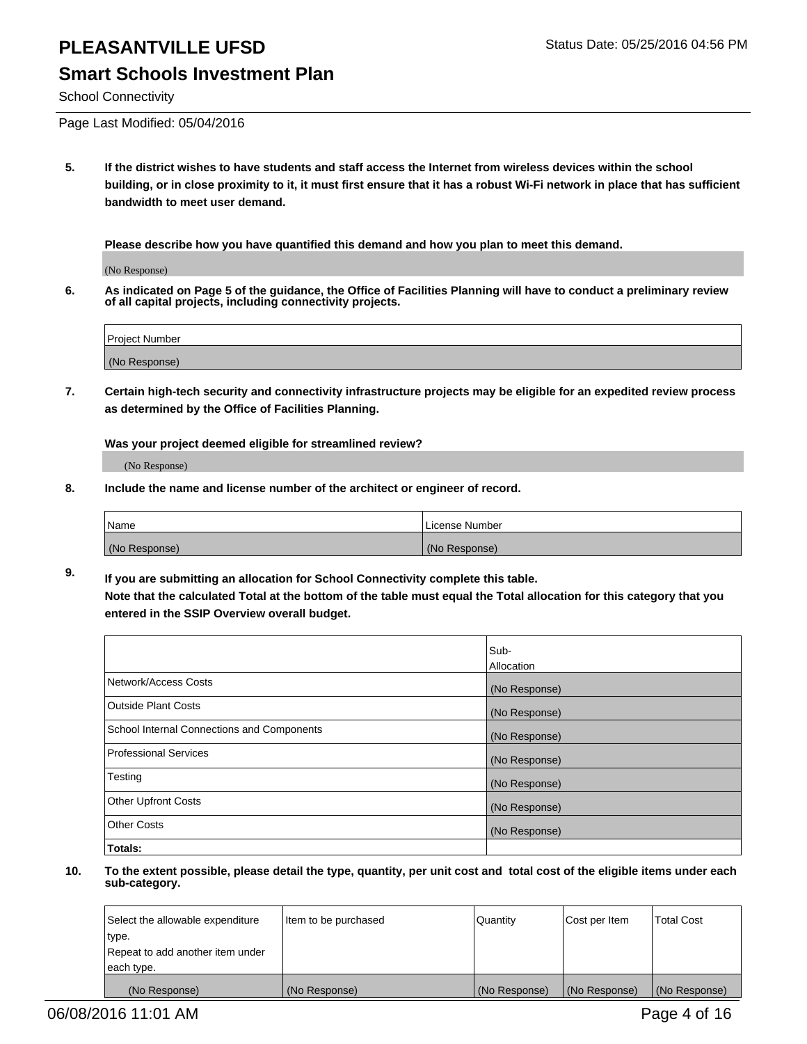## **Smart Schools Investment Plan**

School Connectivity

Page Last Modified: 05/04/2016

**5. If the district wishes to have students and staff access the Internet from wireless devices within the school building, or in close proximity to it, it must first ensure that it has a robust Wi-Fi network in place that has sufficient bandwidth to meet user demand.**

**Please describe how you have quantified this demand and how you plan to meet this demand.**

(No Response)

**6. As indicated on Page 5 of the guidance, the Office of Facilities Planning will have to conduct a preliminary review of all capital projects, including connectivity projects.**

| <b>Project Number</b> |  |
|-----------------------|--|
| (No Response)         |  |

**7. Certain high-tech security and connectivity infrastructure projects may be eligible for an expedited review process as determined by the Office of Facilities Planning.**

**Was your project deemed eligible for streamlined review?**

(No Response)

**8. Include the name and license number of the architect or engineer of record.**

| <b>Name</b>   | License Number |
|---------------|----------------|
| (No Response) | (No Response)  |

**9. If you are submitting an allocation for School Connectivity complete this table. Note that the calculated Total at the bottom of the table must equal the Total allocation for this category that you entered in the SSIP Overview overall budget.** 

|                                            | Sub-          |
|--------------------------------------------|---------------|
|                                            | Allocation    |
| Network/Access Costs                       | (No Response) |
| <b>Outside Plant Costs</b>                 | (No Response) |
| School Internal Connections and Components | (No Response) |
| Professional Services                      | (No Response) |
| Testing                                    | (No Response) |
| <b>Other Upfront Costs</b>                 | (No Response) |
| <b>Other Costs</b>                         | (No Response) |
| Totals:                                    |               |

| Select the allowable expenditure | Item to be purchased | l Quantitv    | Cost per Item | <b>Total Cost</b> |
|----------------------------------|----------------------|---------------|---------------|-------------------|
| type.                            |                      |               |               |                   |
| Repeat to add another item under |                      |               |               |                   |
| each type.                       |                      |               |               |                   |
| (No Response)                    | (No Response)        | (No Response) | (No Response) | (No Response)     |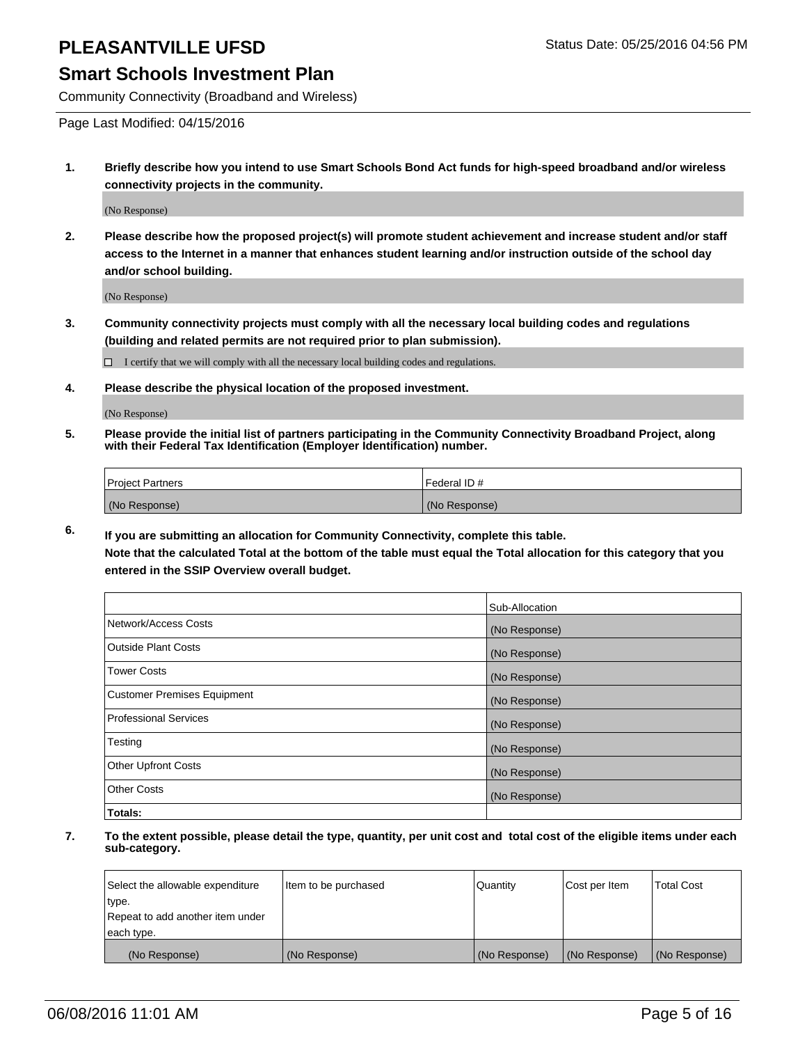#### **Smart Schools Investment Plan**

Community Connectivity (Broadband and Wireless)

Page Last Modified: 04/15/2016

**1. Briefly describe how you intend to use Smart Schools Bond Act funds for high-speed broadband and/or wireless connectivity projects in the community.**

(No Response)

**2. Please describe how the proposed project(s) will promote student achievement and increase student and/or staff access to the Internet in a manner that enhances student learning and/or instruction outside of the school day and/or school building.**

(No Response)

**3. Community connectivity projects must comply with all the necessary local building codes and regulations (building and related permits are not required prior to plan submission).**

 $\Box$  I certify that we will comply with all the necessary local building codes and regulations.

**4. Please describe the physical location of the proposed investment.**

(No Response)

**5. Please provide the initial list of partners participating in the Community Connectivity Broadband Project, along with their Federal Tax Identification (Employer Identification) number.**

| Project Partners | <b>IFederal ID#</b> |
|------------------|---------------------|
| (No Response)    | (No Response)       |

**6. If you are submitting an allocation for Community Connectivity, complete this table.**

**Note that the calculated Total at the bottom of the table must equal the Total allocation for this category that you entered in the SSIP Overview overall budget.**

|                             | Sub-Allocation |
|-----------------------------|----------------|
| Network/Access Costs        | (No Response)  |
| Outside Plant Costs         | (No Response)  |
| <b>Tower Costs</b>          | (No Response)  |
| Customer Premises Equipment | (No Response)  |
| Professional Services       | (No Response)  |
| Testing                     | (No Response)  |
| Other Upfront Costs         | (No Response)  |
| Other Costs                 | (No Response)  |
| Totals:                     |                |

| Select the allowable expenditure | Item to be purchased | Quantity      | Cost per Item | <b>Total Cost</b> |
|----------------------------------|----------------------|---------------|---------------|-------------------|
| type.                            |                      |               |               |                   |
| Repeat to add another item under |                      |               |               |                   |
| each type.                       |                      |               |               |                   |
| (No Response)                    | (No Response)        | (No Response) | (No Response) | (No Response)     |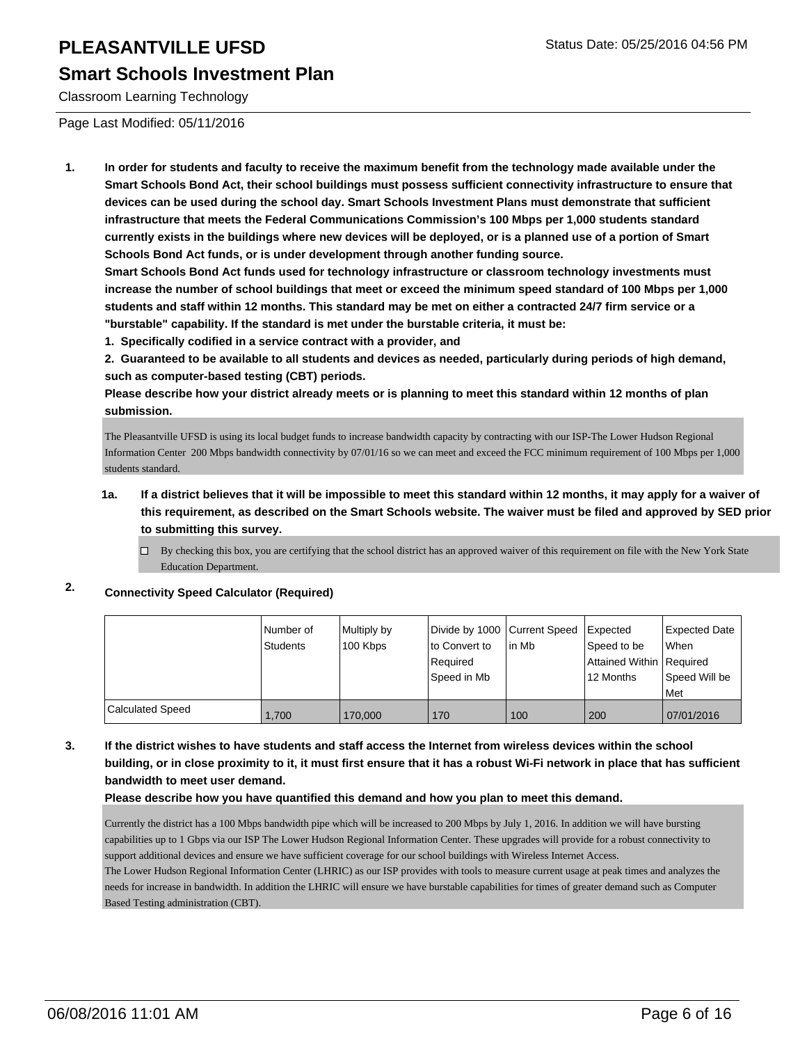### **Smart Schools Investment Plan**

Classroom Learning Technology

Page Last Modified: 05/11/2016

**1. In order for students and faculty to receive the maximum benefit from the technology made available under the Smart Schools Bond Act, their school buildings must possess sufficient connectivity infrastructure to ensure that devices can be used during the school day. Smart Schools Investment Plans must demonstrate that sufficient infrastructure that meets the Federal Communications Commission's 100 Mbps per 1,000 students standard currently exists in the buildings where new devices will be deployed, or is a planned use of a portion of Smart Schools Bond Act funds, or is under development through another funding source.**

**Smart Schools Bond Act funds used for technology infrastructure or classroom technology investments must increase the number of school buildings that meet or exceed the minimum speed standard of 100 Mbps per 1,000 students and staff within 12 months. This standard may be met on either a contracted 24/7 firm service or a "burstable" capability. If the standard is met under the burstable criteria, it must be:**

**1. Specifically codified in a service contract with a provider, and**

**2. Guaranteed to be available to all students and devices as needed, particularly during periods of high demand, such as computer-based testing (CBT) periods.**

**Please describe how your district already meets or is planning to meet this standard within 12 months of plan submission.**

The Pleasantville UFSD is using its local budget funds to increase bandwidth capacity by contracting with our ISP-The Lower Hudson Regional Information Center 200 Mbps bandwidth connectivity by 07/01/16 so we can meet and exceed the FCC minimum requirement of 100 Mbps per 1,000 students standard.

**1a. If a district believes that it will be impossible to meet this standard within 12 months, it may apply for a waiver of this requirement, as described on the Smart Schools website. The waiver must be filed and approved by SED prior to submitting this survey.**

 $\Box$  By checking this box, you are certifying that the school district has an approved waiver of this requirement on file with the New York State Education Department.

#### **2. Connectivity Speed Calculator (Required)**

|                  | Number of<br>Students | Multiply by<br>100 Kbps | Divide by 1000 Current Speed<br>Ito Convert to<br>l Reauired<br> Speed in Mb | l in Mb | Expected<br>Speed to be<br>Attained Within   Required<br>12 Months | Expected Date<br><b>When</b><br>Speed Will be |
|------------------|-----------------------|-------------------------|------------------------------------------------------------------------------|---------|--------------------------------------------------------------------|-----------------------------------------------|
|                  |                       |                         |                                                                              |         |                                                                    | <b>Met</b>                                    |
| Calculated Speed | 1.700                 | 170,000                 | 170                                                                          | 100     | 200                                                                | 07/01/2016                                    |

#### **3. If the district wishes to have students and staff access the Internet from wireless devices within the school building, or in close proximity to it, it must first ensure that it has a robust Wi-Fi network in place that has sufficient bandwidth to meet user demand.**

#### **Please describe how you have quantified this demand and how you plan to meet this demand.**

Currently the district has a 100 Mbps bandwidth pipe which will be increased to 200 Mbps by July 1, 2016. In addition we will have bursting capabilities up to 1 Gbps via our ISP The Lower Hudson Regional Information Center. These upgrades will provide for a robust connectivity to support additional devices and ensure we have sufficient coverage for our school buildings with Wireless Internet Access. The Lower Hudson Regional Information Center (LHRIC) as our ISP provides with tools to measure current usage at peak times and analyzes the needs for increase in bandwidth. In addition the LHRIC will ensure we have burstable capabilities for times of greater demand such as Computer

Based Testing administration (CBT).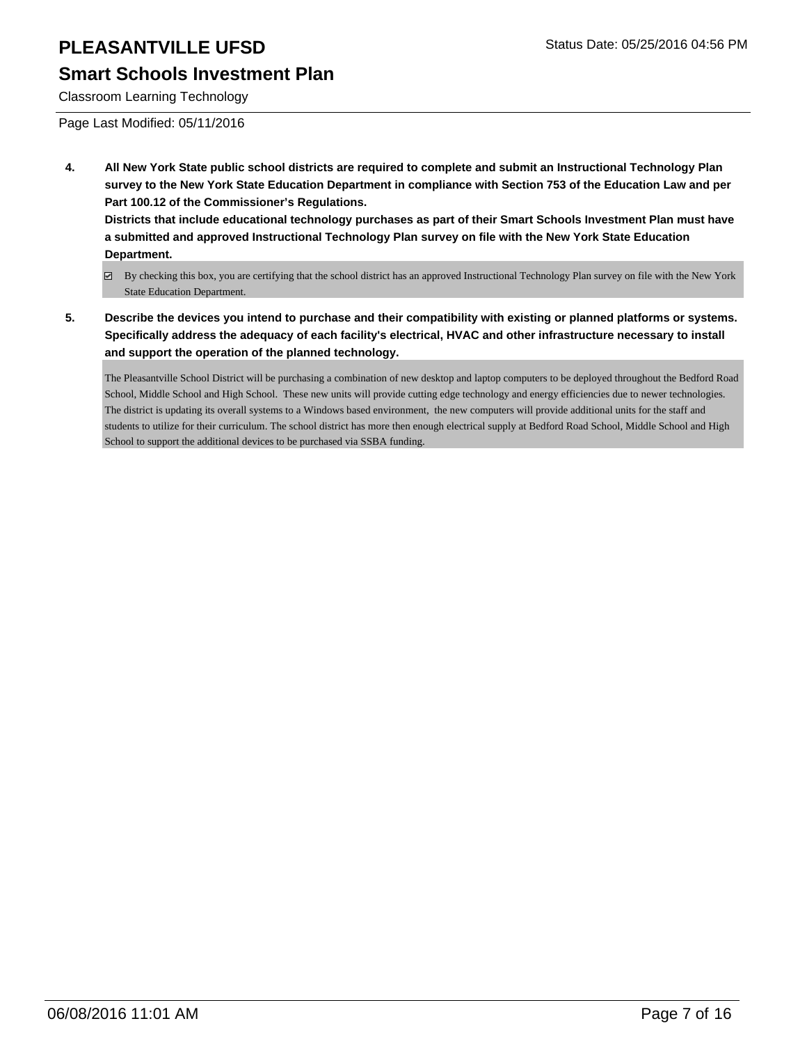## **Smart Schools Investment Plan**

Classroom Learning Technology

Page Last Modified: 05/11/2016

**4. All New York State public school districts are required to complete and submit an Instructional Technology Plan survey to the New York State Education Department in compliance with Section 753 of the Education Law and per Part 100.12 of the Commissioner's Regulations.**

**Districts that include educational technology purchases as part of their Smart Schools Investment Plan must have a submitted and approved Instructional Technology Plan survey on file with the New York State Education Department.**

- By checking this box, you are certifying that the school district has an approved Instructional Technology Plan survey on file with the New York State Education Department.
- **5. Describe the devices you intend to purchase and their compatibility with existing or planned platforms or systems. Specifically address the adequacy of each facility's electrical, HVAC and other infrastructure necessary to install and support the operation of the planned technology.**

The Pleasantville School District will be purchasing a combination of new desktop and laptop computers to be deployed throughout the Bedford Road School, Middle School and High School. These new units will provide cutting edge technology and energy efficiencies due to newer technologies. The district is updating its overall systems to a Windows based environment, the new computers will provide additional units for the staff and students to utilize for their curriculum. The school district has more then enough electrical supply at Bedford Road School, Middle School and High School to support the additional devices to be purchased via SSBA funding.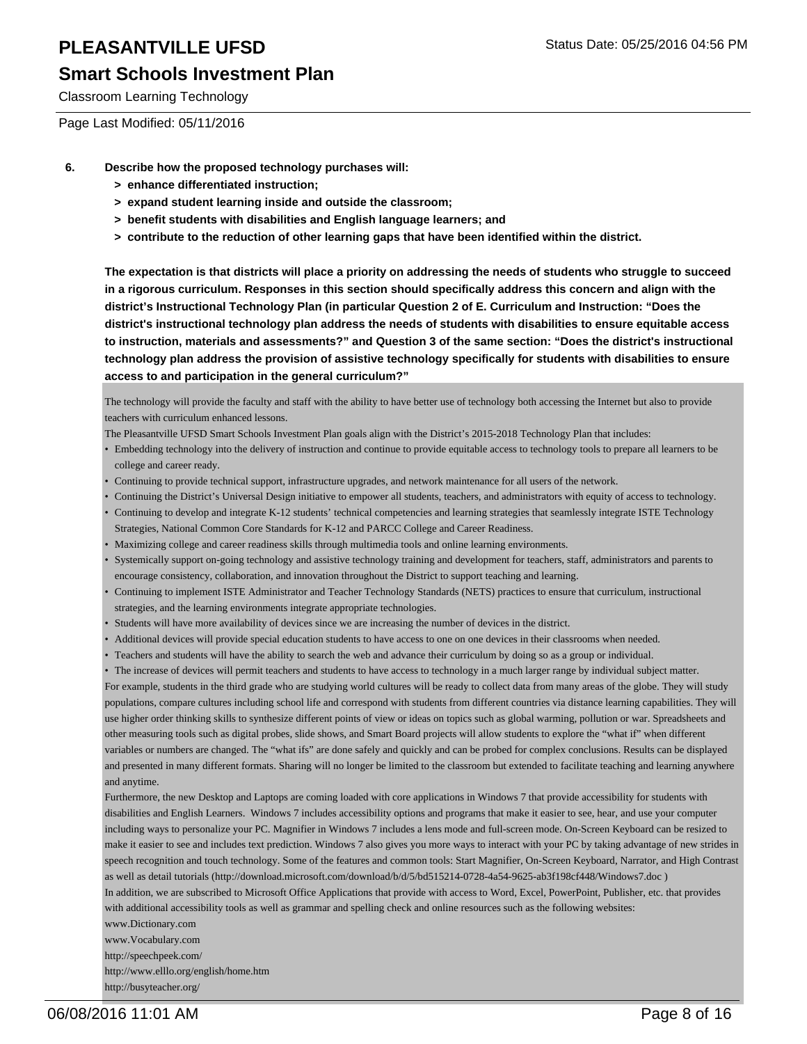#### **Smart Schools Investment Plan**

Classroom Learning Technology

Page Last Modified: 05/11/2016

- **6. Describe how the proposed technology purchases will:**
	- **> enhance differentiated instruction;**
	- **> expand student learning inside and outside the classroom;**
	- **> benefit students with disabilities and English language learners; and**
	- **> contribute to the reduction of other learning gaps that have been identified within the district.**

**The expectation is that districts will place a priority on addressing the needs of students who struggle to succeed in a rigorous curriculum. Responses in this section should specifically address this concern and align with the district's Instructional Technology Plan (in particular Question 2 of E. Curriculum and Instruction: "Does the district's instructional technology plan address the needs of students with disabilities to ensure equitable access to instruction, materials and assessments?" and Question 3 of the same section: "Does the district's instructional technology plan address the provision of assistive technology specifically for students with disabilities to ensure access to and participation in the general curriculum?"**

The technology will provide the faculty and staff with the ability to have better use of technology both accessing the Internet but also to provide teachers with curriculum enhanced lessons.

- The Pleasantville UFSD Smart Schools Investment Plan goals align with the District's 2015-2018 Technology Plan that includes:
- Embedding technology into the delivery of instruction and continue to provide equitable access to technology tools to prepare all learners to be college and career ready.
- Continuing to provide technical support, infrastructure upgrades, and network maintenance for all users of the network.
- Continuing the District's Universal Design initiative to empower all students, teachers, and administrators with equity of access to technology.
- Continuing to develop and integrate K-12 students' technical competencies and learning strategies that seamlessly integrate ISTE Technology Strategies, National Common Core Standards for K-12 and PARCC College and Career Readiness.
- Maximizing college and career readiness skills through multimedia tools and online learning environments.
- Systemically support on-going technology and assistive technology training and development for teachers, staff, administrators and parents to encourage consistency, collaboration, and innovation throughout the District to support teaching and learning.
- Continuing to implement ISTE Administrator and Teacher Technology Standards (NETS) practices to ensure that curriculum, instructional strategies, and the learning environments integrate appropriate technologies. •
- Students will have more availability of devices since we are increasing the number of devices in the district.
- Additional devices will provide special education students to have access to one on one devices in their classrooms when needed.
- Teachers and students will have the ability to search the web and advance their curriculum by doing so as a group or individual.

• The increase of devices will permit teachers and students to have access to technology in a much larger range by individual subject matter. For example, students in the third grade who are studying world cultures will be ready to collect data from many areas of the globe. They will study populations, compare cultures including school life and correspond with students from different countries via distance learning capabilities. They will use higher order thinking skills to synthesize different points of view or ideas on topics such as global warming, pollution or war. Spreadsheets and other measuring tools such as digital probes, slide shows, and Smart Board projects will allow students to explore the "what if" when different variables or numbers are changed. The "what ifs" are done safely and quickly and can be probed for complex conclusions. Results can be displayed and presented in many different formats. Sharing will no longer be limited to the classroom but extended to facilitate teaching and learning anywhere and anytime.

Furthermore, the new Desktop and Laptops are coming loaded with core applications in Windows 7 that provide accessibility for students with disabilities and English Learners. Windows 7 includes accessibility options and programs that make it easier to see, hear, and use your computer including ways to personalize your PC. Magnifier in Windows 7 includes a lens mode and full-screen mode. On-Screen Keyboard can be resized to make it easier to see and includes text prediction. Windows 7 also gives you more ways to interact with your PC by taking advantage of new strides in speech recognition and touch technology. Some of the features and common tools: Start Magnifier, On-Screen Keyboard, Narrator, and High Contrast as well as detail tutorials (http://download.microsoft.com/download/b/d/5/bd515214-0728-4a54-9625-ab3f198cf448/Windows7.doc )

In addition, we are subscribed to Microsoft Office Applications that provide with access to Word, Excel, PowerPoint, Publisher, etc. that provides with additional accessibility tools as well as grammar and spelling check and online resources such as the following websites:

- www.Dictionary.com
- www.Vocabulary.com

http://speechpeek.com/

http://www.elllo.org/english/home.htm

http://busyteacher.org/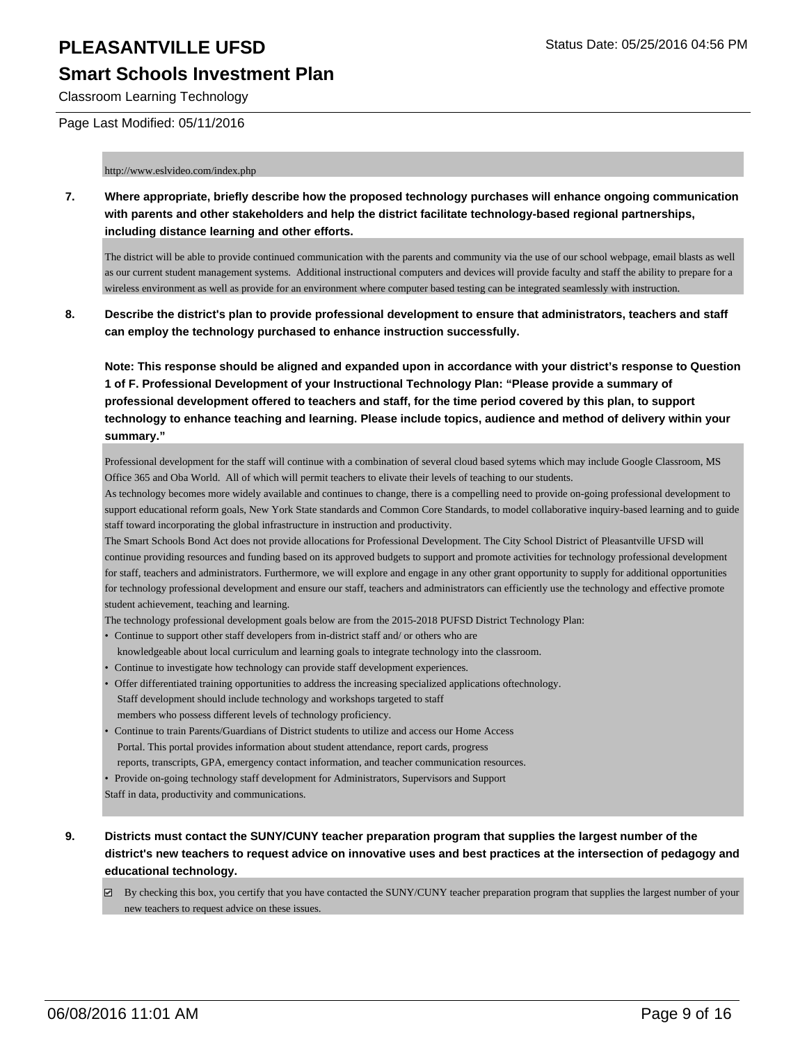### **Smart Schools Investment Plan**

Classroom Learning Technology

#### Page Last Modified: 05/11/2016

#### http://www.eslvideo.com/index.php

**7. Where appropriate, briefly describe how the proposed technology purchases will enhance ongoing communication with parents and other stakeholders and help the district facilitate technology-based regional partnerships, including distance learning and other efforts.**

The district will be able to provide continued communication with the parents and community via the use of our school webpage, email blasts as well as our current student management systems. Additional instructional computers and devices will provide faculty and staff the ability to prepare for a wireless environment as well as provide for an environment where computer based testing can be integrated seamlessly with instruction.

**8. Describe the district's plan to provide professional development to ensure that administrators, teachers and staff can employ the technology purchased to enhance instruction successfully.**

**Note: This response should be aligned and expanded upon in accordance with your district's response to Question 1 of F. Professional Development of your Instructional Technology Plan: "Please provide a summary of professional development offered to teachers and staff, for the time period covered by this plan, to support technology to enhance teaching and learning. Please include topics, audience and method of delivery within your summary."**

Professional development for the staff will continue with a combination of several cloud based sytems which may include Google Classroom, MS Office 365 and Oba World. All of which will permit teachers to elivate their levels of teaching to our students.

As technology becomes more widely available and continues to change, there is a compelling need to provide on-going professional development to support educational reform goals, New York State standards and Common Core Standards, to model collaborative inquiry-based learning and to guide staff toward incorporating the global infrastructure in instruction and productivity.

The Smart Schools Bond Act does not provide allocations for Professional Development. The City School District of Pleasantville UFSD will continue providing resources and funding based on its approved budgets to support and promote activities for technology professional development for staff, teachers and administrators. Furthermore, we will explore and engage in any other grant opportunity to supply for additional opportunities for technology professional development and ensure our staff, teachers and administrators can efficiently use the technology and effective promote student achievement, teaching and learning.

The technology professional development goals below are from the 2015-2018 PUFSD District Technology Plan:

- Continue to support other staff developers from in-district staff and/ or others who are
- knowledgeable about local curriculum and learning goals to integrate technology into the classroom.
- Continue to investigate how technology can provide staff development experiences.
- Offer differentiated training opportunities to address the increasing specialized applications oftechnology. Staff development should include technology and workshops targeted to staff members who possess different levels of technology proficiency. •
- Continue to train Parents/Guardians of District students to utilize and access our Home Access Portal. This portal provides information about student attendance, report cards, progress reports, transcripts, GPA, emergency contact information, and teacher communication resources. •
- Provide on-going technology staff development for Administrators, Supervisors and Support
- Staff in data, productivity and communications.
- **9. Districts must contact the SUNY/CUNY teacher preparation program that supplies the largest number of the district's new teachers to request advice on innovative uses and best practices at the intersection of pedagogy and educational technology.**

 $\boxtimes$  By checking this box, you certify that you have contacted the SUNY/CUNY teacher preparation program that supplies the largest number of your new teachers to request advice on these issues.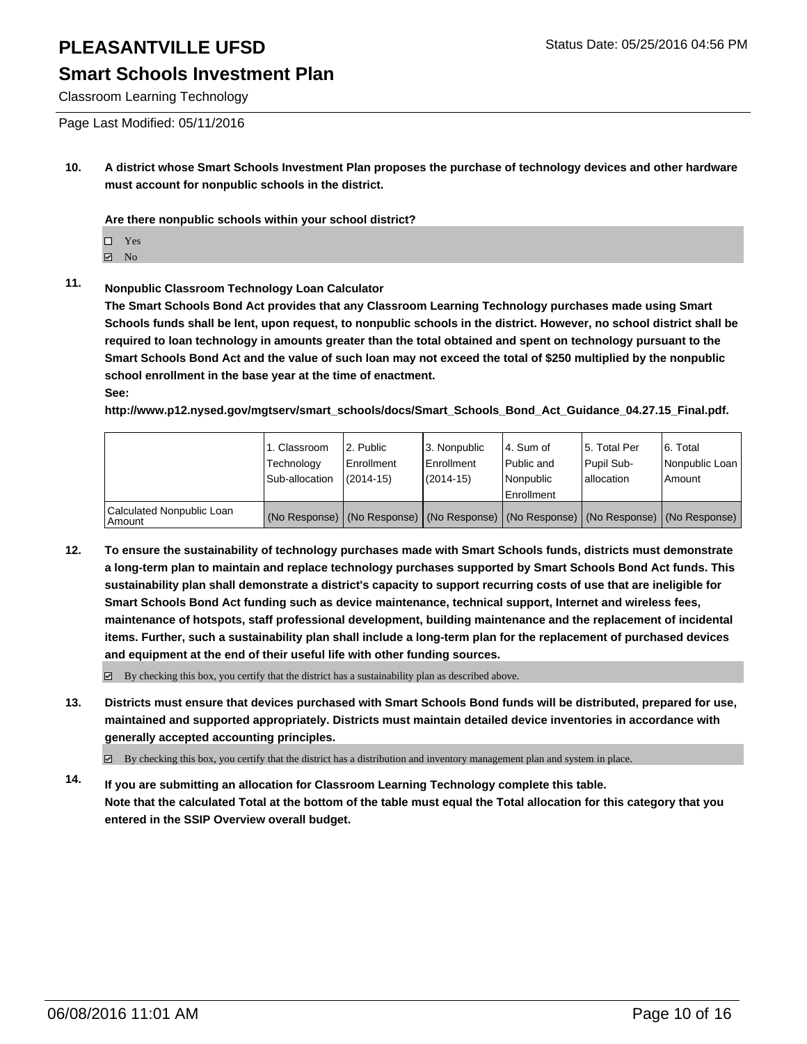### **Smart Schools Investment Plan**

Classroom Learning Technology

Page Last Modified: 05/11/2016

**10. A district whose Smart Schools Investment Plan proposes the purchase of technology devices and other hardware must account for nonpublic schools in the district.**

**Are there nonpublic schools within your school district?**

 $\Box$  Yes

**☑** No

#### **11. Nonpublic Classroom Technology Loan Calculator**

**The Smart Schools Bond Act provides that any Classroom Learning Technology purchases made using Smart Schools funds shall be lent, upon request, to nonpublic schools in the district. However, no school district shall be required to loan technology in amounts greater than the total obtained and spent on technology pursuant to the Smart Schools Bond Act and the value of such loan may not exceed the total of \$250 multiplied by the nonpublic school enrollment in the base year at the time of enactment. See:**

**http://www.p12.nysed.gov/mgtserv/smart\_schools/docs/Smart\_Schools\_Bond\_Act\_Guidance\_04.27.15\_Final.pdf.**

|                                     | l 1. Classroom<br>Technology<br>Sub-allocation                                      | 2. Public<br>Enrollment<br>$(2014 - 15)$ | 3. Nonpublic<br><b>Enrollment</b><br>$(2014 - 15)$ | l 4. Sum of<br>Public and<br>l Nonpublic<br>Enrollment | 15. Total Per<br><b>Pupil Sub-</b><br>Iallocation | 6. Total<br>Nonpublic Loan  <br>Amount |
|-------------------------------------|-------------------------------------------------------------------------------------|------------------------------------------|----------------------------------------------------|--------------------------------------------------------|---------------------------------------------------|----------------------------------------|
| Calculated Nonpublic Loan<br>Amount | (No Response) (No Response) (No Response) (No Response) (No Response) (No Response) |                                          |                                                    |                                                        |                                                   |                                        |

**12. To ensure the sustainability of technology purchases made with Smart Schools funds, districts must demonstrate a long-term plan to maintain and replace technology purchases supported by Smart Schools Bond Act funds. This sustainability plan shall demonstrate a district's capacity to support recurring costs of use that are ineligible for Smart Schools Bond Act funding such as device maintenance, technical support, Internet and wireless fees, maintenance of hotspots, staff professional development, building maintenance and the replacement of incidental items. Further, such a sustainability plan shall include a long-term plan for the replacement of purchased devices and equipment at the end of their useful life with other funding sources.**

 $\boxtimes$  By checking this box, you certify that the district has a sustainability plan as described above.

**13. Districts must ensure that devices purchased with Smart Schools Bond funds will be distributed, prepared for use, maintained and supported appropriately. Districts must maintain detailed device inventories in accordance with generally accepted accounting principles.**

By checking this box, you certify that the district has a distribution and inventory management plan and system in place.

**14. If you are submitting an allocation for Classroom Learning Technology complete this table. Note that the calculated Total at the bottom of the table must equal the Total allocation for this category that you entered in the SSIP Overview overall budget.**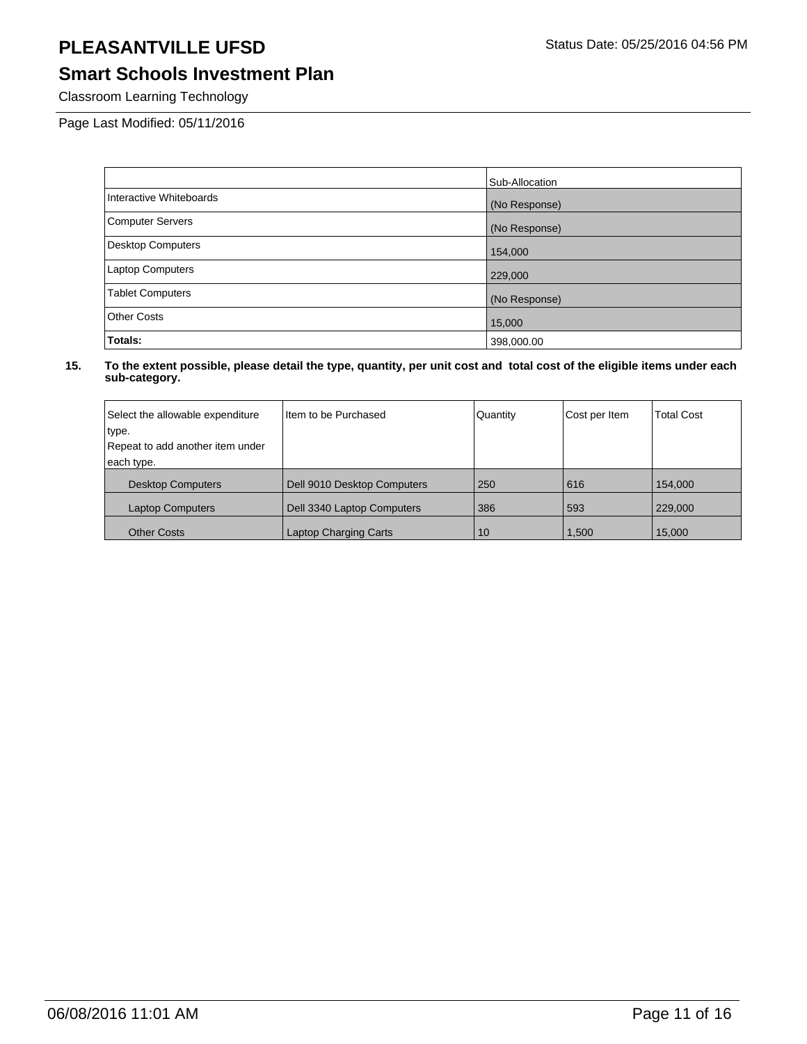## **Smart Schools Investment Plan**

Classroom Learning Technology

Page Last Modified: 05/11/2016

|                         | Sub-Allocation |
|-------------------------|----------------|
| Interactive Whiteboards | (No Response)  |
| <b>Computer Servers</b> | (No Response)  |
| Desktop Computers       | 154,000        |
| <b>Laptop Computers</b> | 229,000        |
| <b>Tablet Computers</b> | (No Response)  |
| <b>Other Costs</b>      | 15,000         |
| Totals:                 | 398,000.00     |

| Select the allowable expenditure | Item to be Purchased         | Quantity | Cost per Item | <b>Total Cost</b> |
|----------------------------------|------------------------------|----------|---------------|-------------------|
| type.                            |                              |          |               |                   |
| Repeat to add another item under |                              |          |               |                   |
| each type.                       |                              |          |               |                   |
| <b>Desktop Computers</b>         | Dell 9010 Desktop Computers  | 250      | 616           | 154.000           |
| <b>Laptop Computers</b>          | Dell 3340 Laptop Computers   | 386      | 593           | 229,000           |
| <b>Other Costs</b>               | <b>Laptop Charging Carts</b> | 10       | 1,500         | 15,000            |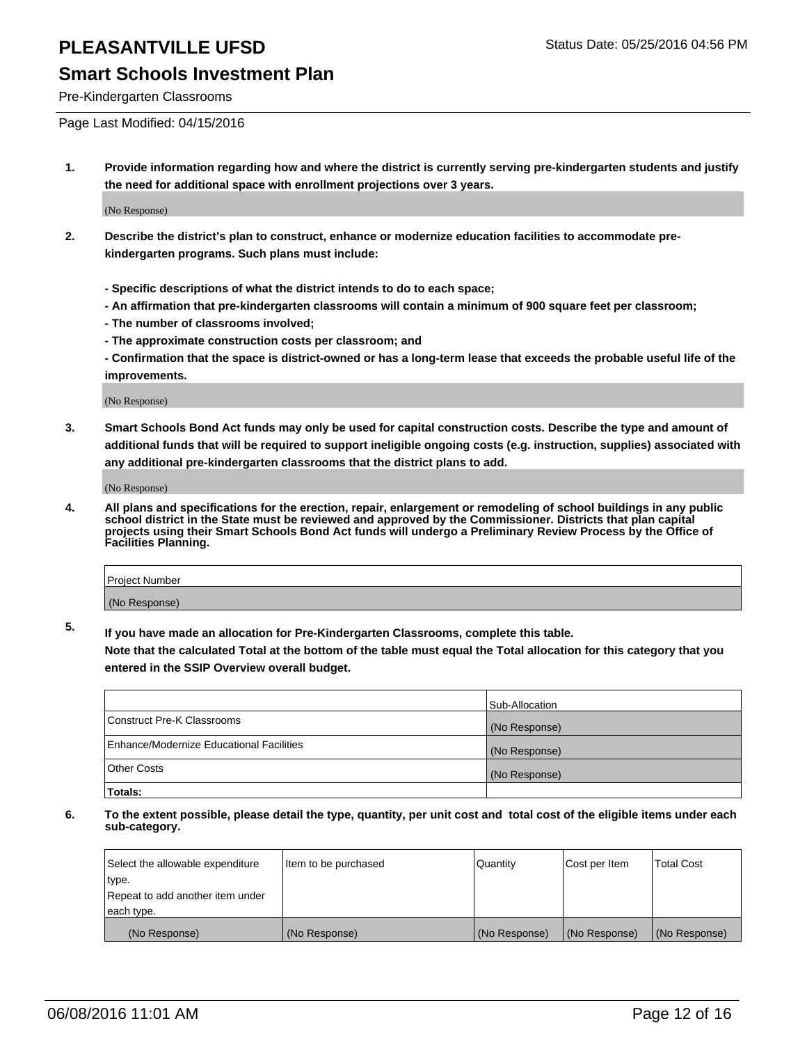#### **Smart Schools Investment Plan**

Pre-Kindergarten Classrooms

Page Last Modified: 04/15/2016

**1. Provide information regarding how and where the district is currently serving pre-kindergarten students and justify the need for additional space with enrollment projections over 3 years.**

(No Response)

- **2. Describe the district's plan to construct, enhance or modernize education facilities to accommodate prekindergarten programs. Such plans must include:**
	- **Specific descriptions of what the district intends to do to each space;**
	- **An affirmation that pre-kindergarten classrooms will contain a minimum of 900 square feet per classroom;**
	- **The number of classrooms involved;**
	- **The approximate construction costs per classroom; and**
	- **Confirmation that the space is district-owned or has a long-term lease that exceeds the probable useful life of the improvements.**

(No Response)

**3. Smart Schools Bond Act funds may only be used for capital construction costs. Describe the type and amount of additional funds that will be required to support ineligible ongoing costs (e.g. instruction, supplies) associated with any additional pre-kindergarten classrooms that the district plans to add.**

(No Response)

**4. All plans and specifications for the erection, repair, enlargement or remodeling of school buildings in any public school district in the State must be reviewed and approved by the Commissioner. Districts that plan capital projects using their Smart Schools Bond Act funds will undergo a Preliminary Review Process by the Office of Facilities Planning.**

| Project Number |  |
|----------------|--|
| (No Response)  |  |

**5. If you have made an allocation for Pre-Kindergarten Classrooms, complete this table.**

**Note that the calculated Total at the bottom of the table must equal the Total allocation for this category that you entered in the SSIP Overview overall budget.**

|                                          | Sub-Allocation |
|------------------------------------------|----------------|
| Construct Pre-K Classrooms               | (No Response)  |
| Enhance/Modernize Educational Facilities | (No Response)  |
| Other Costs                              | (No Response)  |
| Totals:                                  |                |

| Select the allowable expenditure | Item to be purchased | Quantity      | Cost per Item | <b>Total Cost</b> |
|----------------------------------|----------------------|---------------|---------------|-------------------|
| type.                            |                      |               |               |                   |
| Repeat to add another item under |                      |               |               |                   |
| each type.                       |                      |               |               |                   |
| (No Response)                    | (No Response)        | (No Response) | (No Response) | (No Response)     |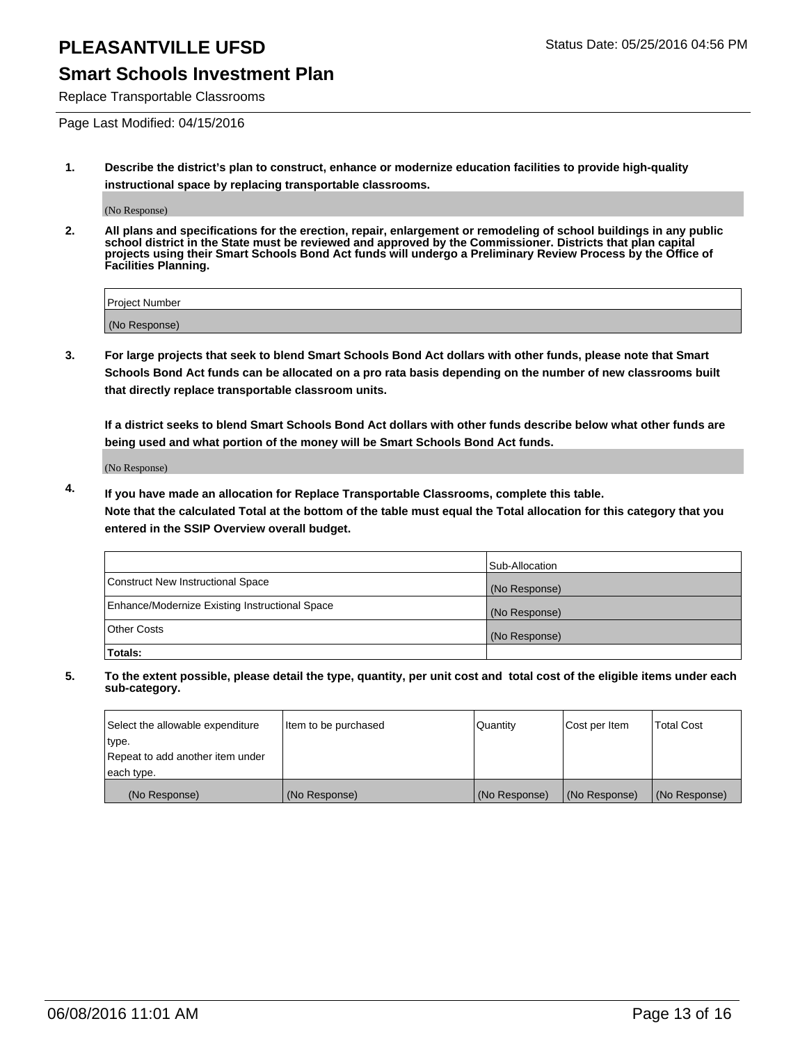#### **Smart Schools Investment Plan**

Replace Transportable Classrooms

Page Last Modified: 04/15/2016

**1. Describe the district's plan to construct, enhance or modernize education facilities to provide high-quality instructional space by replacing transportable classrooms.**

(No Response)

**2. All plans and specifications for the erection, repair, enlargement or remodeling of school buildings in any public school district in the State must be reviewed and approved by the Commissioner. Districts that plan capital projects using their Smart Schools Bond Act funds will undergo a Preliminary Review Process by the Office of Facilities Planning.**

| <b>Project Number</b> |  |
|-----------------------|--|
| (No Response)         |  |

**3. For large projects that seek to blend Smart Schools Bond Act dollars with other funds, please note that Smart Schools Bond Act funds can be allocated on a pro rata basis depending on the number of new classrooms built that directly replace transportable classroom units.**

**If a district seeks to blend Smart Schools Bond Act dollars with other funds describe below what other funds are being used and what portion of the money will be Smart Schools Bond Act funds.**

(No Response)

**4. If you have made an allocation for Replace Transportable Classrooms, complete this table. Note that the calculated Total at the bottom of the table must equal the Total allocation for this category that you entered in the SSIP Overview overall budget.**

|                                                | Sub-Allocation |
|------------------------------------------------|----------------|
| Construct New Instructional Space              | (No Response)  |
| Enhance/Modernize Existing Instructional Space | (No Response)  |
| <b>Other Costs</b>                             | (No Response)  |
| Totals:                                        |                |

| Select the allowable expenditure | Item to be purchased | <b>Quantity</b> | Cost per Item | <b>Total Cost</b> |
|----------------------------------|----------------------|-----------------|---------------|-------------------|
| type.                            |                      |                 |               |                   |
| Repeat to add another item under |                      |                 |               |                   |
| each type.                       |                      |                 |               |                   |
| (No Response)                    | (No Response)        | (No Response)   | (No Response) | (No Response)     |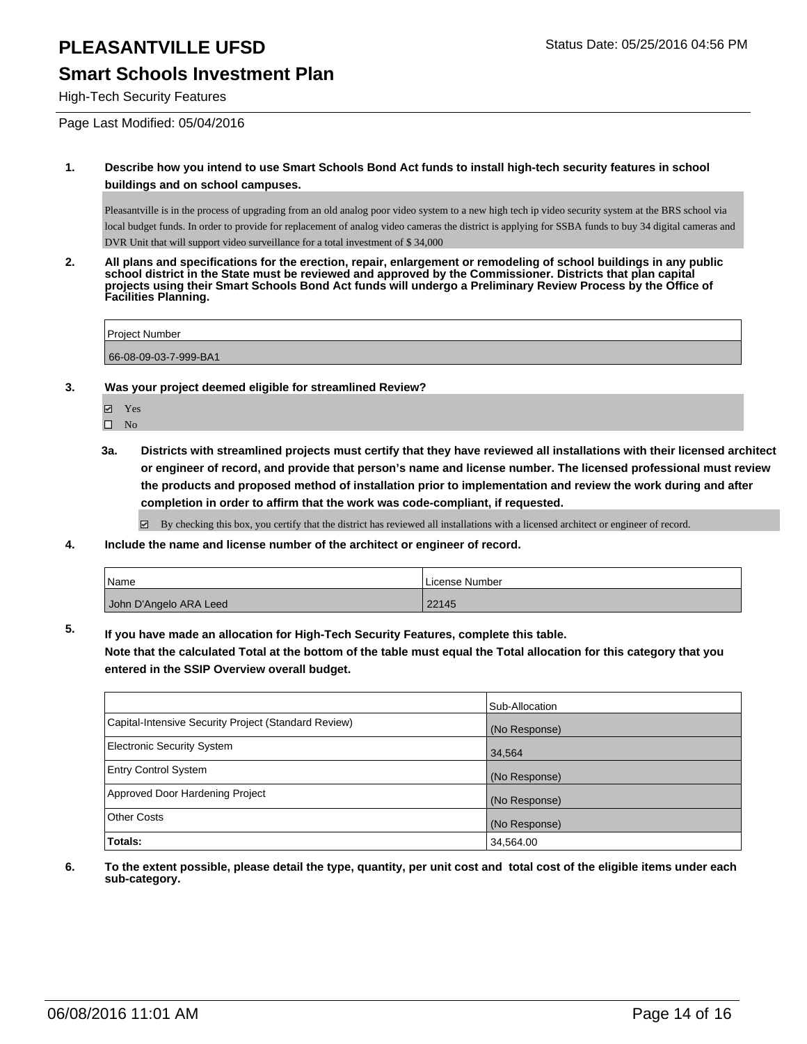### **Smart Schools Investment Plan**

High-Tech Security Features

Page Last Modified: 05/04/2016

#### **1. Describe how you intend to use Smart Schools Bond Act funds to install high-tech security features in school buildings and on school campuses.**

Pleasantville is in the process of upgrading from an old analog poor video system to a new high tech ip video security system at the BRS school via local budget funds. In order to provide for replacement of analog video cameras the district is applying for SSBA funds to buy 34 digital cameras and DVR Unit that will support video surveillance for a total investment of \$ 34,000

**2. All plans and specifications for the erection, repair, enlargement or remodeling of school buildings in any public school district in the State must be reviewed and approved by the Commissioner. Districts that plan capital projects using their Smart Schools Bond Act funds will undergo a Preliminary Review Process by the Office of Facilities Planning.** 

| <b>Project Number</b> |  |  |
|-----------------------|--|--|
|                       |  |  |
| 66-08-09-03-7-999-BA1 |  |  |

**3. Was your project deemed eligible for streamlined Review?**

- Yes
- $\qquad \qquad$  No
- **3a. Districts with streamlined projects must certify that they have reviewed all installations with their licensed architect or engineer of record, and provide that person's name and license number. The licensed professional must review the products and proposed method of installation prior to implementation and review the work during and after completion in order to affirm that the work was code-compliant, if requested.**

 $\boxtimes$  By checking this box, you certify that the district has reviewed all installations with a licensed architect or engineer of record.

**4. Include the name and license number of the architect or engineer of record.**

| <b>Name</b>            | License Number |
|------------------------|----------------|
| John D'Angelo ARA Leed | 22145          |

**5. If you have made an allocation for High-Tech Security Features, complete this table.**

**Note that the calculated Total at the bottom of the table must equal the Total allocation for this category that you entered in the SSIP Overview overall budget.**

|                                                      | Sub-Allocation |
|------------------------------------------------------|----------------|
| Capital-Intensive Security Project (Standard Review) | (No Response)  |
| <b>Electronic Security System</b>                    | 34,564         |
| <b>Entry Control System</b>                          | (No Response)  |
| Approved Door Hardening Project                      | (No Response)  |
| <b>Other Costs</b>                                   | (No Response)  |
| Totals:                                              | 34,564.00      |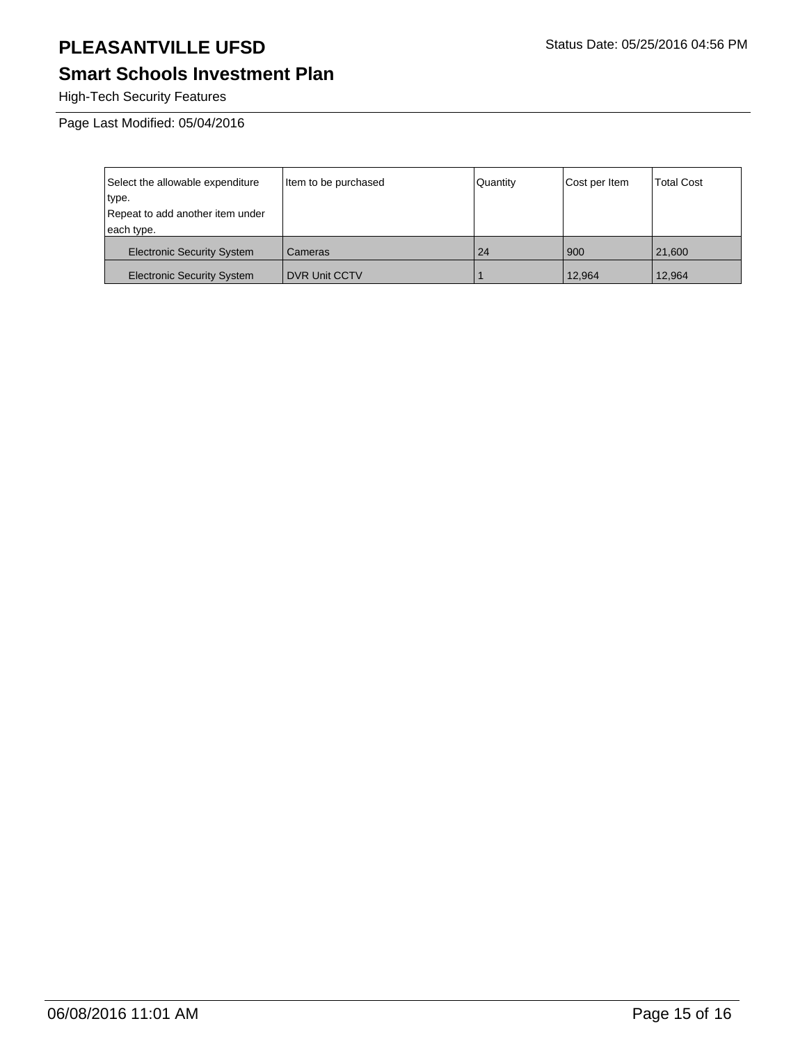# **Smart Schools Investment Plan**

High-Tech Security Features

Page Last Modified: 05/04/2016

| Select the allowable expenditure<br>type.<br>Repeat to add another item under<br>each type. | Item to be purchased | Quantity | Cost per Item | <b>Total Cost</b> |
|---------------------------------------------------------------------------------------------|----------------------|----------|---------------|-------------------|
| <b>Electronic Security System</b>                                                           | Cameras              | 24       | 900           | 21.600            |
| <b>Electronic Security System</b>                                                           | <b>DVR Unit CCTV</b> |          | 12,964        | 12,964            |